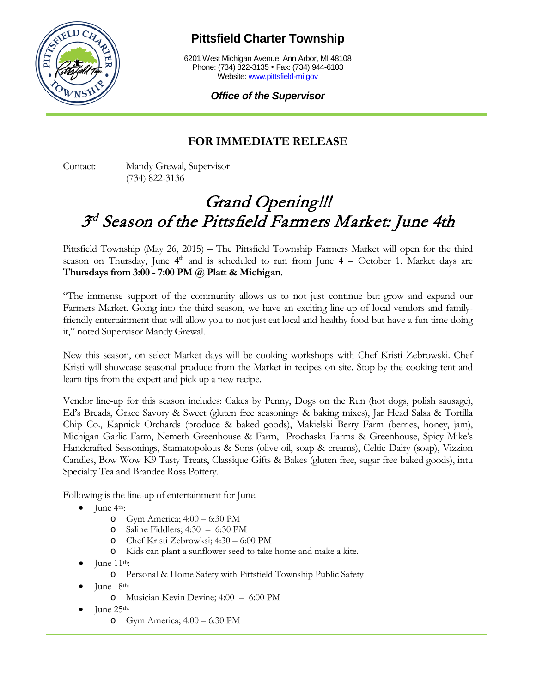

## **Pittsfield Charter Township**

6201 West Michigan Avenue, Ann Arbor, MI 48108 Phone: (734) 822-3135 • Fax: (734) 944-6103 Website: [www.pittsfield-mi.gov](http://www.pittsfield-mi.gov/)

*Office of the Supervisor*

## **FOR IMMEDIATE RELEASE**

Contact: Mandy Grewal, Supervisor (734) 822-3136

## Grand Opening!!! 3 rd Season of the Pittsfield Farmers Market: June 4th

Pittsfield Township (May 26, 2015) – The Pittsfield Township Farmers Market will open for the third season on Thursday, June  $4<sup>th</sup>$  and is scheduled to run from June  $4$  – October 1. Market days are **Thursdays from 3:00 - 7:00 PM @ Platt & Michigan**.

"The immense support of the community allows us to not just continue but grow and expand our Farmers Market. Going into the third season, we have an exciting line-up of local vendors and familyfriendly entertainment that will allow you to not just eat local and healthy food but have a fun time doing it," noted Supervisor Mandy Grewal.

New this season, on select Market days will be cooking workshops with Chef Kristi Zebrowski. Chef Kristi will showcase seasonal produce from the Market in recipes on site. Stop by the cooking tent and learn tips from the expert and pick up a new recipe.

Vendor line-up for this season includes: Cakes by Penny, Dogs on the Run (hot dogs, polish sausage), Ed's Breads, Grace Savory & Sweet (gluten free seasonings & baking mixes), Jar Head Salsa & Tortilla Chip Co., Kapnick Orchards (produce & baked goods), Makielski Berry Farm (berries, honey, jam), Michigan Garlic Farm, Nemeth Greenhouse & Farm, Prochaska Farms & Greenhouse, Spicy Mike's Handcrafted Seasonings, Stamatopolous & Sons (olive oil, soap & creams), Celtic Dairy (soap), Vizzion Candles, Bow Wow K9 Tasty Treats, Classique Gifts & Bakes (gluten free, sugar free baked goods), intu Specialty Tea and Brandee Ross Pottery.

Following is the line-up of entertainment for June.

- June  $4<sup>th</sup>$ :
	- o Gym America; 4:00 6:30 PM
	- o Saline Fiddlers; 4:30 6:30 PM
	- o Chef Kristi Zebrowksi; 4:30 6:00 PM
	- o Kids can plant a sunflower seed to take home and make a kite.
- June  $11<sup>th</sup>$ :
	- o Personal & Home Safety with Pittsfield Township Public Safety
- June 18th:
	- o Musician Kevin Devine; 4:00 6:00 PM
- June 25<sup>th:</sup>
	- o Gym America; 4:00 6:30 PM